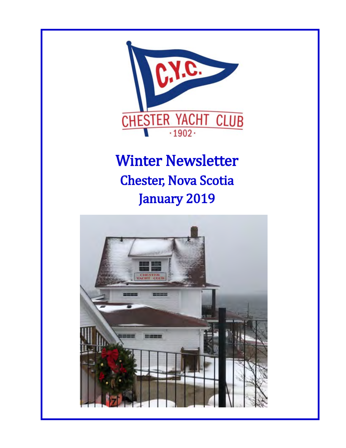

# **Winter Newsletter Chester, Nova Scotia** January 2019

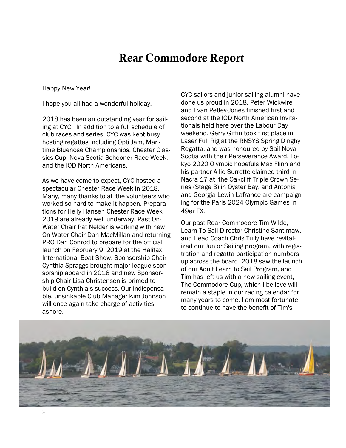### **Rear Commodore Report**

Happy New Year!

I hope you all had a wonderful holiday.

2018 has been an outstanding year for sailing at CYC. In addition to a full schedule of club races and series, CYC was kept busy hosting regattas including Opti Jam, Maritime Bluenose Championships, Chester Classics Cup, Nova Scotia Schooner Race Week, and the IOD North Americans.

As we have come to expect, CYC hosted a spectacular Chester Race Week in 2018. Many, many thanks to all the volunteers who worked so hard to make it happen. Preparations for Helly Hansen Chester Race Week 2019 are already well underway. Past On-Water Chair Pat Nelder is working with new On-Water Chair Dan MacMillan and returning PRO Dan Conrod to prepare for the official launch on February 9, 2019 at the Halifax International Boat Show. Sponsorship Chair Cynthia Spraggs brought major-league sponsorship aboard in 2018 and new Sponsorship Chair Lisa Christensen is primed to build on Cynthia's success. Our indispensable, unsinkable Club Manager Kim Johnson will once again take charge of activities ashore.

CYC sailors and junior sailing alumni have done us proud in 2018. Peter Wickwire and Evan Petley-Jones finished first and second at the IOD North American Invitationals held here over the Labour Day weekend. Gerry Giffin took first place in Laser Full Rig at the RNSYS Spring Dinghy Regatta, and was honoured by Sail Nova Scotia with their Perseverance Award. Tokyo 2020 Olympic hopefuls Max Flinn and his partner Allie Surrette claimed third in Nacra 17 at the Oakcliff Triple Crown Series (Stage 3) in Oyster Bay, and Antonia and Georgia Lewin-Lafrance are campaigning for the Paris 2024 Olympic Games in 49er FX.

Our past Rear Commodore Tim Wilde, Learn To Sail Director Christine Santimaw, and Head Coach Chris Tully have revitalized our Junior Sailing program, with registration and regatta participation numbers up across the board. 2018 saw the launch of our Adult Learn to Sail Program, and Tim has left us with a new sailing event, The Commodore Cup, which I believe will remain a staple in our racing calendar for many years to come. I am most fortunate to continue to have the benefit of Tim's

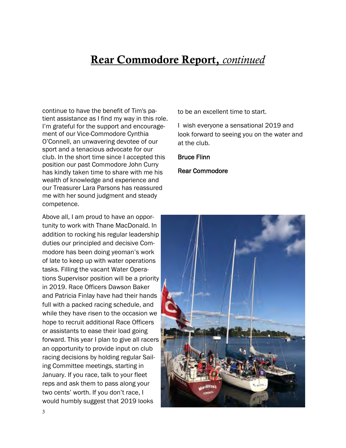### **Rear Commodore Report,** *continued*

continue to have the benefit of Tim's patient assistance as I find my way in this role. I'm grateful for the support and encouragement of our Vice-Commodore Cynthia O'Connell, an unwavering devotee of our sport and a tenacious advocate for our club. In the short time since I accepted this position our past Commodore John Curry has kindly taken time to share with me his wealth of knowledge and experience and our Treasurer Lara Parsons has reassured me with her sound judgment and steady competence.

Above all, I am proud to have an opportunity to work with Thane MacDonald. In addition to rocking his regular leadership duties our principled and decisive Commodore has been doing yeoman's work of late to keep up with water operations tasks. Filling the vacant Water Operations Supervisor position will be a priority in 2019. Race Officers Dawson Baker and Patricia Finlay have had their hands full with a packed racing schedule, and while they have risen to the occasion we hope to recruit additional Race Officers or assistants to ease their load going forward. This year I plan to give all racers an opportunity to provide input on club racing decisions by holding regular Sailing Committee meetings, starting in January. If you race, talk to your fleet reps and ask them to pass along your two cents' worth. If you don't race, I would humbly suggest that 2019 looks

to be an excellent time to start.

I wish everyone a sensational 2019 and look forward to seeing you on the water and at the club.

Bruce Flinn

Rear Commodore

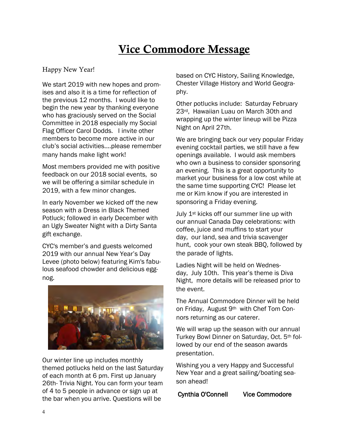# **Vice Commodore Message**

#### Happy New Year!

We start 2019 with new hopes and promises and also it is a time for reflection of the previous 12 months. I would like to begin the new year by thanking everyone who has graciously served on the Social Committee in 2018 especially my Social Flag Officer Carol Dodds. I invite other members to become more active in our club's social activities….please remember many hands make light work!

Most members provided me with positive feedback on our 2018 social events, so we will be offering a similar schedule in 2019, with a few minor changes.

In early November we kicked off the new season with a Dress in Black Themed Potluck; followed in early December with an Ugly Sweater Night with a Dirty Santa gift exchange.

CYC's member's and guests welcomed 2019 with our annual New Year's Day Levee (photo below) featuring Kim's fabulous seafood chowder and delicious eggnog.



Our winter line up includes monthly themed potlucks held on the last Saturday of each month at 6 pm. First up January 26th- Trivia Night. You can form your team of 4 to 5 people in advance or sign up at the bar when you arrive. Questions will be

based on CYC History, Sailing Knowledge, Chester Village History and World Geography.

Other potlucks include: Saturday February 23rd, Hawaiian Luau on March 30th and wrapping up the winter lineup will be Pizza Night on April 27th.

We are bringing back our very popular Friday evening cocktail parties, we still have a few openings available. I would ask members who own a business to consider sponsoring an evening. This is a great opportunity to market your business for a low cost while at the same time supporting CYC! Please let me or Kim know if you are interested in sponsoring a Friday evening.

July 1<sup>st</sup> kicks off our summer line up with our annual Canada Day celebrations: with coffee, juice and muffins to start your day, our land, sea and trivia scavenger hunt, cook your own steak BBQ, followed by the parade of lights.

Ladies Night will be held on Wednesday, July 10th. This year's theme is Diva Night, more details will be released prior to the event.

The Annual Commodore Dinner will be held on Friday, August 9th with Chef Tom Connors returning as our caterer.

We will wrap up the season with our annual Turkey Bowl Dinner on Saturday, Oct. 5th followed by our end of the season awards presentation.

Wishing you a very Happy and Successful New Year and a great sailing/boating season ahead!

Cynthia O'Connell Vice Commodore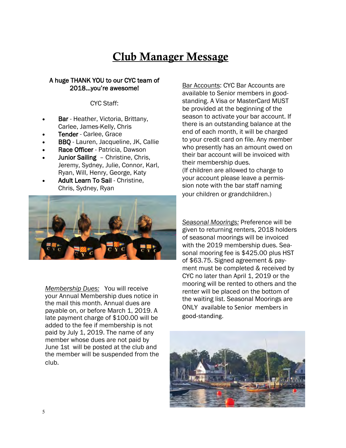# **Club Manager Message**

#### A huge THANK YOU to our CYC team of 2018...you're awesome!

#### CYC Staff:

- Bar Heather, Victoria, Brittany, Carlee, James-Kelly, Chris
- Tender Carlee, Grace
- BBQ Lauren, Jacqueline, JK, Callie
- Race Officer Patricia, Dawson
- Junior Sailing Christine, Chris, Jeremy, Sydney, Julie, Connor, Karl, Ryan, Will, Henry, George, Katy
- Adult Learn To Sail Christine, Chris, Sydney, Ryan



*Membership Dues:* You will receive your Annual Membership dues notice in the mail this month. Annual dues are payable on, or before March 1, 2019. A late payment charge of \$100.00 will be added to the fee if membership is not paid by July 1, 2019. The name of any member whose dues are not paid by June 1st will be posted at the club and the member will be suspended from the club.

Bar Accounts: CYC Bar Accounts are available to Senior members in goodstanding. A Visa or MasterCard MUST be provided at the beginning of the season to activate your bar account. If there is an outstanding balance at the end of each month, it will be charged to your credit card on file. Any member who presently has an amount owed on their bar account will be invoiced with their membership dues. (If children are allowed to charge to your account please leave a permission note with the bar staff naming your children or grandchildren.)

*Seasonal Moorings:* Preference will be given to returning renters, 2018 holders of seasonal moorings will be invoiced with the 2019 membership dues. Seasonal mooring fee is \$425.00 plus HST of \$63.75. Signed agreement & payment must be completed & received by CYC no later than April 1, 2019 or the mooring will be rented to others and the renter will be placed on the bottom of the waiting list. Seasonal Moorings are ONLY available to Senior members in good-standing.

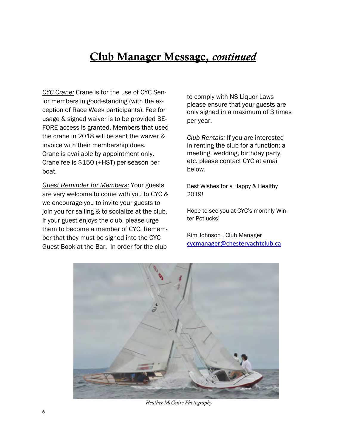# **Club Manager Message,** *continued*

*CYC Crane:* Crane is for the use of CYC Senior members in good-standing (with the exception of Race Week participants). Fee for usage & signed waiver is to be provided BE-FORE access is granted. Members that used the crane in 2018 will be sent the waiver & invoice with their membership dues. Crane is available by appointment only. Crane fee is \$150 (+HST) per season per boat.

*Guest Reminder for Members:* Your guests are very welcome to come with you to CYC & we encourage you to invite your guests to join you for sailing & to socialize at the club. If your guest enjoys the club, please urge them to become a member of CYC. Remember that they must be signed into the CYC Guest Book at the Bar. In order for the club

to comply with NS Liquor Laws please ensure that your guests are only signed in a maximum of 3 times per year.

*Club Rentals:* If you are interested in renting the club for a function; a meeting, wedding, birthday party, etc. please contact CYC at email below.

Best Wishes for a Happy & Healthy 2019!

Hope to see you at CYC's monthly Winter Potlucks!

Kim Johnson , Club Manager [cycmanager@chesteryachtclub.ca](mailto:cycmanager@chesteryachtclub.ca)



 *Heather McGuire Photography*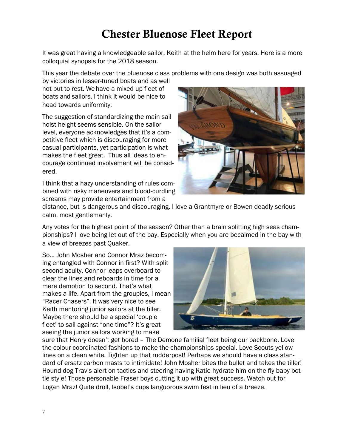# **Chester Bluenose Fleet Report**

It was great having a knowledgeable sailor, Keith at the helm here for years. Here is a more colloquial synopsis for the 2018 season.

This year the debate over the bluenose class problems with one design was both assuaged

by victories in lesser-tuned boats and as well not put to rest. We have a mixed up fleet of boats and sailors. I think it would be nice to head towards uniformity.

The suggestion of standardizing the main sail hoist height seems sensible. On the sailor level, everyone acknowledges that it's a competitive fleet which is discouraging for more casual participants, yet participation is what makes the fleet great. Thus all ideas to encourage continued involvement will be considered.

I think that a hazy understanding of rules combined with risky maneuvers and blood-curdling screams may provide entertainment from a



distance, but is dangerous and discouraging. I love a Grantmyre or Bowen deadly serious calm, most gentlemanly.

Any votes for the highest point of the season? Other than a brain splitting high seas championships? I love being let out of the bay. Especially when you are becalmed in the bay with a view of breezes past Quaker.

So… John Mosher and Connor Mraz becoming entangled with Connor in first? With split second acuity, Connor leaps overboard to clear the lines and reboards in time for a mere demotion to second. That's what makes a life. Apart from the groupies, I mean "Racer Chasers". It was very nice to see Keith mentoring junior sailors at the tiller. Maybe there should be a special 'couple fleet' to sail against "one time"? It's great seeing the junior sailors working to make



sure that Henry doesn't get bored – The Demone familial fleet being our backbone. Love the colour-coordinated fashions to make the championships special. Love Scouts yellow lines on a clean white. Tighten up that rudderpost! Perhaps we should have a class standard of ersatz carbon masts to intimidate! John Mosher bites the bullet and takes the tiller! Hound dog Travis alert on tactics and steering having Katie hydrate him on the fly baby bottle style! Those personable Fraser boys cutting it up with great success. Watch out for Logan Mraz! Quite droll, Isobel's cups languorous swim fest in lieu of a breeze.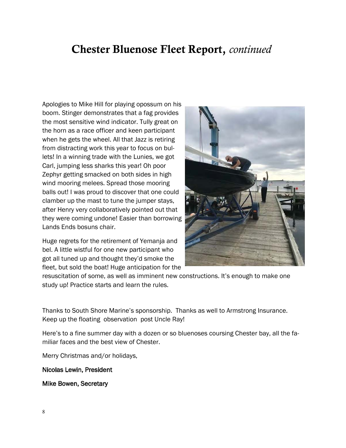### **Chester Bluenose Fleet Report,** *continued*

Apologies to Mike Hill for playing opossum on his boom. Stinger demonstrates that a fag provides the most sensitive wind indicator. Tully great on the horn as a race officer and keen participant when he gets the wheel. All that Jazz is retiring from distracting work this year to focus on bullets! In a winning trade with the Lunies, we got Carl, jumping less sharks this year! Oh poor Zephyr getting smacked on both sides in high wind mooring melees. Spread those mooring balls out! I was proud to discover that one could clamber up the mast to tune the jumper stays, after Henry very collaboratively pointed out that they were coming undone! Easier than borrowing Lands Ends bosuns chair.

Huge regrets for the retirement of Yemanja and bel. A little wistful for one new participant who got all tuned up and thought they'd smoke the fleet, but sold the boat! Huge anticipation for the



resuscitation of some, as well as imminent new constructions. It's enough to make one study up! Practice starts and learn the rules.

Thanks to South Shore Marine's sponsorship. Thanks as well to Armstrong Insurance. Keep up the floating observation post Uncle Ray!

Here's to a fine summer day with a dozen or so bluenoses coursing Chester bay, all the familiar faces and the best view of Chester.

Merry Christmas and/or holidays,

Nicolas Lewin, President

Mike Bowen, Secretary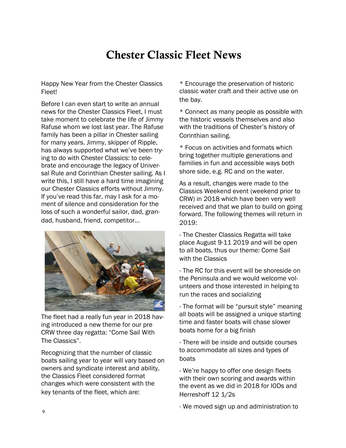# **Chester Classic Fleet News**

Happy New Year from the Chester Classics Fleet!

Before I can even start to write an annual news for the Chester Classics Fleet, I must take moment to celebrate the life of Jimmy Rafuse whom we lost last year. The Rafuse family has been a pillar in Chester sailing for many years. Jimmy, skipper of Ripple, has always supported what we've been trying to do with Chester Classics: to celebrate and encourage the legacy of Universal Rule and Corinthian Chester sailing. As I write this, I still have a hard time imagining our Chester Classics efforts without Jimmy. If you've read this far, may I ask for a moment of silence and consideration for the loss of such a wonderful sailor, dad, grandad, husband, friend, competitor…



The fleet had a really fun year in 2018 having introduced a new theme for our pre CRW three day regatta: "Come Sail With The Classics".

Recognizing that the number of classic boats sailing year to year will vary based on owners and syndicate interest and ability, the Classics Fleet considered format changes which were consistent with the key tenants of the fleet, which are:

\* Encourage the preservation of historic classic water craft and their active use on the bay.

\* Connect as many people as possible with the historic vessels themselves and also with the traditions of Chester's history of Corinthian sailing.

\* Focus on activities and formats which bring together multiple generations and families in fun and accessible ways both shore side, e.g. RC and on the water.

As a result, changes were made to the Classics Weekend event (weekend prior to CRW) in 2018 which have been very well received and that we plan to build on going forward. The following themes will return in 2019:

- The Chester Classics Regatta will take place August 9-11 2019 and will be open to all boats, thus our theme: Come Sail with the Classics

- The RC for this event will be shoreside on the Peninsula and we would welcome volunteers and those interested in helping to run the races and socializing

- The format will be "pursuit style" meaning all boats will be assigned a unique starting time and faster boats will chase slower boats home for a big finish

- There will be inside and outside courses to accommodate all sizes and types of boats

- We're happy to offer one design fleets with their own scoring and awards within the event as we did in 2018 for IODs and Herreshoff 12 1/2s

- We moved sign up and administration to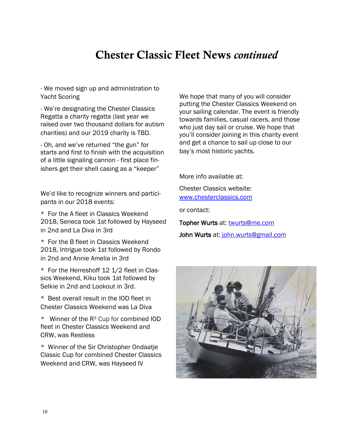### **Chester Classic Fleet News** *continued*

- We moved sign up and administration to Yacht Scoring

- We're designating the Chester Classics Regatta a charity regatta (last year we raised over two thousand dollars for autism charities) and our 2019 charity is TBD.

- Oh, and we've returned "the gun" for starts and first to finish with the acquisition of a little signaling cannon - first place finishers get their shell casing as a "keeper"

We'd like to recognize winners and participants in our 2018 events:

\* For the A fleet in Classics Weekend 2018, Seneca took 1st followed by Hayseed in 2nd and La Diva in 3rd

\* For the B fleet in Classics Weekend 2018, Intrigue took 1st followed by Rondo in 2nd and Annie Amelia in 3rd

\* For the Herreshoff 12 1/2 fleet in Classics Weekend, Kiku took 1st followed by Selkie in 2nd and Lookout in 3rd.

\* Best overall result in the IOD fleet in Chester Classics Weekend was La Diva

 $*$  Winner of the R<sup>3</sup> Cup for combined IOD fleet in Chester Classics Weekend and CRW, was Restless

\* Winner of the Sir Christopher Ondaatje Classic Cup for combined Chester Classics Weekend and CRW, was Hayseed IV

We hope that many of you will consider putting the Chester Classics Weekend on your sailing calendar. The event is friendly towards families, casual racers, and those who just day sail or cruise. We hope that you'll consider joining in this charity event and get a chance to sail up close to our bay's most historic yachts.

More info available at:

Chester Classics website: [www.chesterclassics.com](http://www.chesterclassics.com)

or contact:

Topher Wurts at: [twurts@me.com](mailto:twurts@me.com) John Wurts at: [john.wurts@gmail.com](mailto:john.wurts@gmail.com)

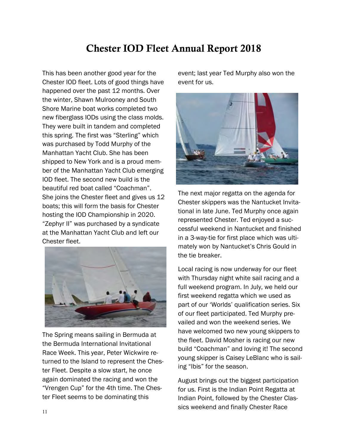#### **Chester IOD Fleet Annual Report 2018**

This has been another good year for the Chester IOD fleet. Lots of good things have happened over the past 12 months. Over the winter, Shawn Mulrooney and South Shore Marine boat works completed two new fiberglass IODs using the class molds. They were built in tandem and completed this spring. The first was "Sterling" which was purchased by Todd Murphy of the Manhattan Yacht Club. She has been shipped to New York and is a proud member of the Manhattan Yacht Club emerging IOD fleet. The second new build is the beautiful red boat called "Coachman". She joins the Chester fleet and gives us 12 boats; this will form the basis for Chester hosting the IOD Championship in 2020. "Zephyr II" was purchased by a syndicate at the Manhattan Yacht Club and left our Chester fleet.



The Spring means sailing in Bermuda at the Bermuda International Invitational Race Week. This year, Peter Wickwire returned to the Island to represent the Chester Fleet. Despite a slow start, he once again dominated the racing and won the "Vrengen Cup" for the 4th time. The Chester Fleet seems to be dominating this

event; last year Ted Murphy also won the event for us.



The next major regatta on the agenda for Chester skippers was the Nantucket Invitational in late June. Ted Murphy once again represented Chester. Ted enjoyed a successful weekend in Nantucket and finished in a 3-way-tie for first place which was ultimately won by Nantucket's Chris Gould in the tie breaker.

Local racing is now underway for our fleet with Thursday night white sail racing and a full weekend program. In July, we held our first weekend regatta which we used as part of our 'Worlds' qualification series. Six of our fleet participated. Ted Murphy prevailed and won the weekend series. We have welcomed two new young skippers to the fleet. David Mosher is racing our new build "Coachman" and loving it! The second young skipper is Caisey LeBlanc who is sailing "Ibis" for the season.

August brings out the biggest participation for us. First is the Indian Point Regatta at Indian Point, followed by the Chester Classics weekend and finally Chester Race